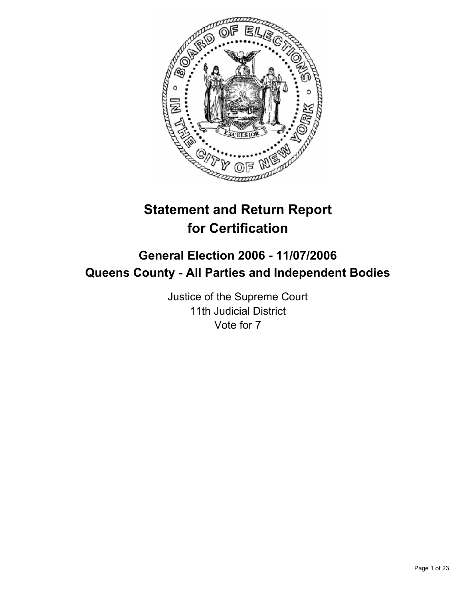

# **Statement and Return Report for Certification**

## **General Election 2006 - 11/07/2006 Queens County - All Parties and Independent Bodies**

Justice of the Supreme Court 11th Judicial District Vote for 7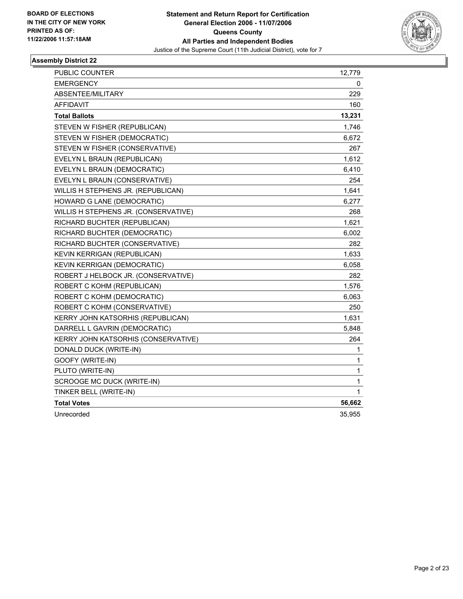

| PUBLIC COUNTER                       | 12,779 |
|--------------------------------------|--------|
| <b>EMERGENCY</b>                     | 0      |
| ABSENTEE/MILITARY                    | 229    |
| <b>AFFIDAVIT</b>                     | 160    |
| <b>Total Ballots</b>                 | 13,231 |
| STEVEN W FISHER (REPUBLICAN)         | 1,746  |
| STEVEN W FISHER (DEMOCRATIC)         | 6,672  |
| STEVEN W FISHER (CONSERVATIVE)       | 267    |
| EVELYN L BRAUN (REPUBLICAN)          | 1,612  |
| EVELYN L BRAUN (DEMOCRATIC)          | 6,410  |
| EVELYN L BRAUN (CONSERVATIVE)        | 254    |
| WILLIS H STEPHENS JR. (REPUBLICAN)   | 1,641  |
| HOWARD G LANE (DEMOCRATIC)           | 6,277  |
| WILLIS H STEPHENS JR. (CONSERVATIVE) | 268    |
| RICHARD BUCHTER (REPUBLICAN)         | 1,621  |
| RICHARD BUCHTER (DEMOCRATIC)         | 6,002  |
| RICHARD BUCHTER (CONSERVATIVE)       | 282    |
| KEVIN KERRIGAN (REPUBLICAN)          | 1,633  |
| <b>KEVIN KERRIGAN (DEMOCRATIC)</b>   | 6,058  |
| ROBERT J HELBOCK JR. (CONSERVATIVE)  | 282    |
| ROBERT C KOHM (REPUBLICAN)           | 1,576  |
| ROBERT C KOHM (DEMOCRATIC)           | 6,063  |
| ROBERT C KOHM (CONSERVATIVE)         | 250    |
| KERRY JOHN KATSORHIS (REPUBLICAN)    | 1,631  |
| DARRELL L GAVRIN (DEMOCRATIC)        | 5,848  |
| KERRY JOHN KATSORHIS (CONSERVATIVE)  | 264    |
| DONALD DUCK (WRITE-IN)               | 1      |
| GOOFY (WRITE-IN)                     | 1      |
| PLUTO (WRITE-IN)                     | 1      |
| SCROOGE MC DUCK (WRITE-IN)           | 1      |
| TINKER BELL (WRITE-IN)               | 1      |
| <b>Total Votes</b>                   | 56,662 |
| Unrecorded                           | 35,955 |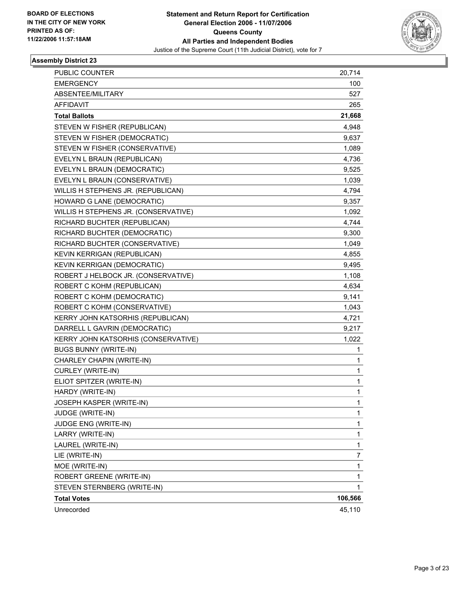

| PUBLIC COUNTER                       | 20,714                   |
|--------------------------------------|--------------------------|
| <b>EMERGENCY</b>                     | 100                      |
| ABSENTEE/MILITARY                    | 527                      |
| <b>AFFIDAVIT</b>                     | 265                      |
| <b>Total Ballots</b>                 | 21,668                   |
| STEVEN W FISHER (REPUBLICAN)         | 4,948                    |
| STEVEN W FISHER (DEMOCRATIC)         | 9,637                    |
| STEVEN W FISHER (CONSERVATIVE)       | 1,089                    |
| EVELYN L BRAUN (REPUBLICAN)          | 4,736                    |
| EVELYN L BRAUN (DEMOCRATIC)          | 9,525                    |
| EVELYN L BRAUN (CONSERVATIVE)        | 1,039                    |
| WILLIS H STEPHENS JR. (REPUBLICAN)   | 4,794                    |
| HOWARD G LANE (DEMOCRATIC)           | 9,357                    |
| WILLIS H STEPHENS JR. (CONSERVATIVE) | 1,092                    |
| RICHARD BUCHTER (REPUBLICAN)         | 4,744                    |
| RICHARD BUCHTER (DEMOCRATIC)         | 9,300                    |
| RICHARD BUCHTER (CONSERVATIVE)       | 1,049                    |
| KEVIN KERRIGAN (REPUBLICAN)          | 4,855                    |
| KEVIN KERRIGAN (DEMOCRATIC)          | 9,495                    |
| ROBERT J HELBOCK JR. (CONSERVATIVE)  | 1,108                    |
| ROBERT C KOHM (REPUBLICAN)           | 4,634                    |
| ROBERT C KOHM (DEMOCRATIC)           | 9,141                    |
| ROBERT C KOHM (CONSERVATIVE)         | 1,043                    |
| KERRY JOHN KATSORHIS (REPUBLICAN)    | 4,721                    |
| DARRELL L GAVRIN (DEMOCRATIC)        | 9,217                    |
| KERRY JOHN KATSORHIS (CONSERVATIVE)  | 1,022                    |
| <b>BUGS BUNNY (WRITE-IN)</b>         | 1                        |
| CHARLEY CHAPIN (WRITE-IN)            | 1                        |
| CURLEY (WRITE-IN)                    | 1                        |
| ELIOT SPITZER (WRITE-IN)             | 1                        |
| HARDY (WRITE-IN)                     | 1                        |
| JOSEPH KASPER (WRITE-IN)             | 1                        |
| JUDGE (WRITE-IN)                     | 1                        |
| JUDGE ENG (WRITE-IN)                 | 1                        |
| LARRY (WRITE-IN)                     | 1                        |
| LAUREL (WRITE-IN)                    | 1                        |
| LIE (WRITE-IN)                       | $\overline{\mathcal{I}}$ |
| MOE (WRITE-IN)                       | 1                        |
| ROBERT GREENE (WRITE-IN)             | 1                        |
| STEVEN STERNBERG (WRITE-IN)          | 1                        |
| <b>Total Votes</b>                   | 106,566                  |
| Unrecorded                           | 45,110                   |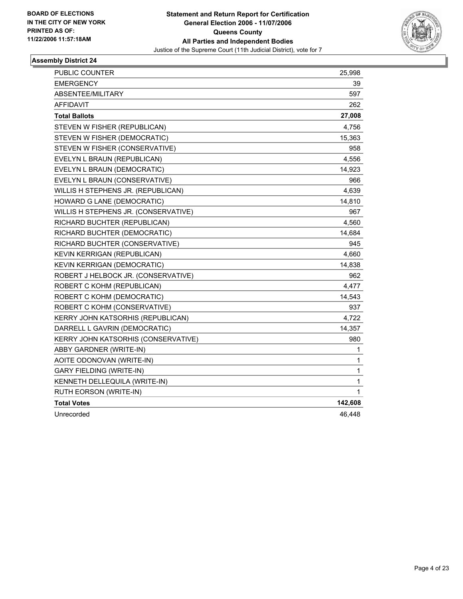

| PUBLIC COUNTER                             | 25,998  |
|--------------------------------------------|---------|
| <b>EMERGENCY</b>                           | 39      |
| ABSENTEE/MILITARY                          | 597     |
| AFFIDAVIT                                  | 262     |
| <b>Total Ballots</b>                       | 27,008  |
| STEVEN W FISHER (REPUBLICAN)               | 4,756   |
| STEVEN W FISHER (DEMOCRATIC)               | 15,363  |
| STEVEN W FISHER (CONSERVATIVE)             | 958     |
| EVELYN L BRAUN (REPUBLICAN)                | 4,556   |
| EVELYN L BRAUN (DEMOCRATIC)                | 14,923  |
| EVELYN L BRAUN (CONSERVATIVE)              | 966     |
| WILLIS H STEPHENS JR. (REPUBLICAN)         | 4,639   |
| HOWARD G LANE (DEMOCRATIC)                 | 14,810  |
| WILLIS H STEPHENS JR. (CONSERVATIVE)       | 967     |
| RICHARD BUCHTER (REPUBLICAN)               | 4,560   |
| RICHARD BUCHTER (DEMOCRATIC)               | 14,684  |
| RICHARD BUCHTER (CONSERVATIVE)             | 945     |
| KEVIN KERRIGAN (REPUBLICAN)                | 4,660   |
| <b>KEVIN KERRIGAN (DEMOCRATIC)</b>         | 14,838  |
| ROBERT J HELBOCK JR. (CONSERVATIVE)        | 962     |
| ROBERT C KOHM (REPUBLICAN)                 | 4,477   |
| ROBERT C KOHM (DEMOCRATIC)                 | 14,543  |
| ROBERT C KOHM (CONSERVATIVE)               | 937     |
| KERRY JOHN KATSORHIS (REPUBLICAN)          | 4,722   |
| DARRELL L GAVRIN (DEMOCRATIC)              | 14,357  |
| <b>KERRY JOHN KATSORHIS (CONSERVATIVE)</b> | 980     |
| ABBY GARDNER (WRITE-IN)                    | 1       |
| AOITE ODONOVAN (WRITE-IN)                  | 1       |
| <b>GARY FIELDING (WRITE-IN)</b>            | 1       |
| KENNETH DELLEQUILA (WRITE-IN)              | 1       |
| RUTH EORSON (WRITE-IN)                     | 1       |
| <b>Total Votes</b>                         | 142,608 |
| Unrecorded                                 | 46,448  |
|                                            |         |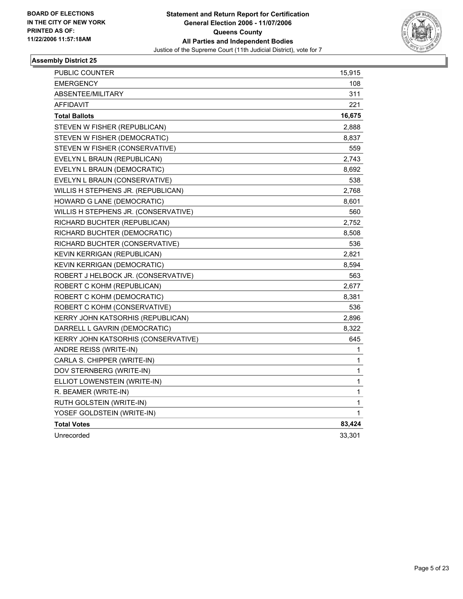

| PUBLIC COUNTER                       | 15,915 |
|--------------------------------------|--------|
| <b>EMERGENCY</b>                     | 108    |
| ABSENTEE/MILITARY                    | 311    |
| <b>AFFIDAVIT</b>                     | 221    |
| <b>Total Ballots</b>                 | 16,675 |
| STEVEN W FISHER (REPUBLICAN)         | 2,888  |
| STEVEN W FISHER (DEMOCRATIC)         | 8,837  |
| STEVEN W FISHER (CONSERVATIVE)       | 559    |
| EVELYN L BRAUN (REPUBLICAN)          | 2,743  |
| EVELYN L BRAUN (DEMOCRATIC)          | 8,692  |
| EVELYN L BRAUN (CONSERVATIVE)        | 538    |
| WILLIS H STEPHENS JR. (REPUBLICAN)   | 2,768  |
| HOWARD G LANE (DEMOCRATIC)           | 8,601  |
| WILLIS H STEPHENS JR. (CONSERVATIVE) | 560    |
| RICHARD BUCHTER (REPUBLICAN)         | 2,752  |
| RICHARD BUCHTER (DEMOCRATIC)         | 8,508  |
| RICHARD BUCHTER (CONSERVATIVE)       | 536    |
| KEVIN KERRIGAN (REPUBLICAN)          | 2,821  |
| KEVIN KERRIGAN (DEMOCRATIC)          | 8,594  |
| ROBERT J HELBOCK JR. (CONSERVATIVE)  | 563    |
| ROBERT C KOHM (REPUBLICAN)           | 2,677  |
| ROBERT C KOHM (DEMOCRATIC)           | 8,381  |
| ROBERT C KOHM (CONSERVATIVE)         | 536    |
| KERRY JOHN KATSORHIS (REPUBLICAN)    | 2,896  |
| DARRELL L GAVRIN (DEMOCRATIC)        | 8,322  |
| KERRY JOHN KATSORHIS (CONSERVATIVE)  | 645    |
| ANDRE REISS (WRITE-IN)               | 1      |
| CARLA S. CHIPPER (WRITE-IN)          | 1      |
| DOV STERNBERG (WRITE-IN)             | 1      |
| ELLIOT LOWENSTEIN (WRITE-IN)         | 1      |
| R. BEAMER (WRITE-IN)                 | 1      |
| RUTH GOLSTEIN (WRITE-IN)             | 1      |
| YOSEF GOLDSTEIN (WRITE-IN)           | 1      |
| <b>Total Votes</b>                   | 83,424 |
| Unrecorded                           | 33,301 |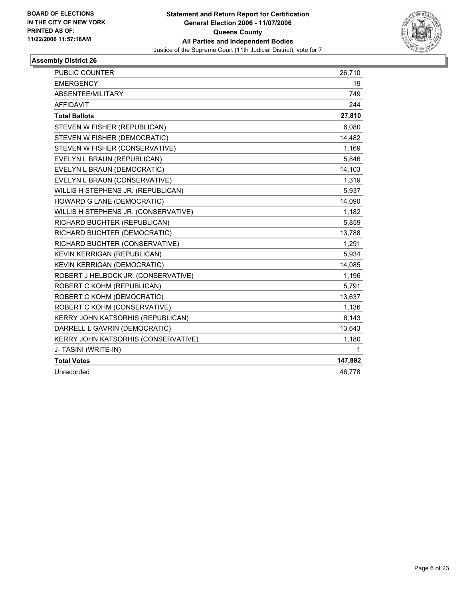

| PUBLIC COUNTER                       | 26,710  |
|--------------------------------------|---------|
| <b>EMERGENCY</b>                     | 19      |
| ABSENTEE/MILITARY                    | 749     |
| AFFIDAVIT                            | 244     |
| <b>Total Ballots</b>                 | 27,810  |
| STEVEN W FISHER (REPUBLICAN)         | 6,080   |
| STEVEN W FISHER (DEMOCRATIC)         | 14,482  |
| STEVEN W FISHER (CONSERVATIVE)       | 1,169   |
| EVELYN L BRAUN (REPUBLICAN)          | 5,846   |
| EVELYN L BRAUN (DEMOCRATIC)          | 14,103  |
| EVELYN L BRAUN (CONSERVATIVE)        | 1,319   |
| WILLIS H STEPHENS JR. (REPUBLICAN)   | 5,937   |
| HOWARD G LANE (DEMOCRATIC)           | 14,090  |
| WILLIS H STEPHENS JR. (CONSERVATIVE) | 1,182   |
| RICHARD BUCHTER (REPUBLICAN)         | 5,859   |
| RICHARD BUCHTER (DEMOCRATIC)         | 13,788  |
| RICHARD BUCHTER (CONSERVATIVE)       | 1,291   |
| KEVIN KERRIGAN (REPUBLICAN)          | 5,934   |
| KEVIN KERRIGAN (DEMOCRATIC)          | 14,085  |
| ROBERT J HELBOCK JR. (CONSERVATIVE)  | 1,196   |
| ROBERT C KOHM (REPUBLICAN)           | 5,791   |
| ROBERT C KOHM (DEMOCRATIC)           | 13,637  |
| ROBERT C KOHM (CONSERVATIVE)         | 1,136   |
| KERRY JOHN KATSORHIS (REPUBLICAN)    | 6,143   |
| DARRELL L GAVRIN (DEMOCRATIC)        | 13,643  |
| KERRY JOHN KATSORHIS (CONSERVATIVE)  | 1,180   |
| J- TASINI (WRITE-IN)                 | 1       |
| <b>Total Votes</b>                   | 147,892 |
| Unrecorded                           | 46,778  |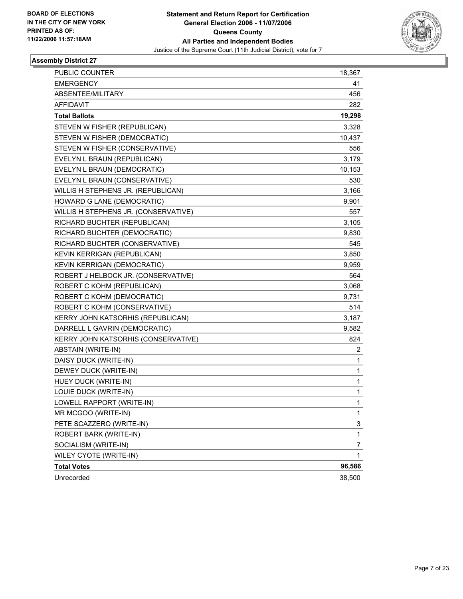

| PUBLIC COUNTER                             | 18,367         |
|--------------------------------------------|----------------|
| <b>EMERGENCY</b>                           | 41             |
| ABSENTEE/MILITARY                          | 456            |
| AFFIDAVIT                                  | 282            |
| <b>Total Ballots</b>                       | 19,298         |
| STEVEN W FISHER (REPUBLICAN)               | 3,328          |
| STEVEN W FISHER (DEMOCRATIC)               | 10,437         |
| STEVEN W FISHER (CONSERVATIVE)             | 556            |
| EVELYN L BRAUN (REPUBLICAN)                | 3,179          |
| EVELYN L BRAUN (DEMOCRATIC)                | 10,153         |
| EVELYN L BRAUN (CONSERVATIVE)              | 530            |
| WILLIS H STEPHENS JR. (REPUBLICAN)         | 3,166          |
| HOWARD G LANE (DEMOCRATIC)                 | 9,901          |
| WILLIS H STEPHENS JR. (CONSERVATIVE)       | 557            |
| RICHARD BUCHTER (REPUBLICAN)               | 3,105          |
| RICHARD BUCHTER (DEMOCRATIC)               | 9,830          |
| RICHARD BUCHTER (CONSERVATIVE)             | 545            |
| KEVIN KERRIGAN (REPUBLICAN)                | 3,850          |
| KEVIN KERRIGAN (DEMOCRATIC)                | 9,959          |
| ROBERT J HELBOCK JR. (CONSERVATIVE)        | 564            |
| ROBERT C KOHM (REPUBLICAN)                 | 3,068          |
| ROBERT C KOHM (DEMOCRATIC)                 | 9,731          |
| ROBERT C KOHM (CONSERVATIVE)               | 514            |
| KERRY JOHN KATSORHIS (REPUBLICAN)          | 3,187          |
| DARRELL L GAVRIN (DEMOCRATIC)              | 9,582          |
| <b>KERRY JOHN KATSORHIS (CONSERVATIVE)</b> | 824            |
| ABSTAIN (WRITE-IN)                         | 2              |
| DAISY DUCK (WRITE-IN)                      | $\mathbf{1}$   |
| DEWEY DUCK (WRITE-IN)                      | 1              |
| HUEY DUCK (WRITE-IN)                       | 1              |
| LOUIE DUCK (WRITE-IN)                      | 1              |
| LOWELL RAPPORT (WRITE-IN)                  | 1              |
| MR MCGOO (WRITE-IN)                        | 1              |
| PETE SCAZZERO (WRITE-IN)                   | 3              |
| ROBERT BARK (WRITE-IN)                     | 1              |
| SOCIALISM (WRITE-IN)                       | $\overline{7}$ |
| WILEY CYOTE (WRITE-IN)                     | $\mathbf{1}$   |
| <b>Total Votes</b>                         | 96,586         |
| Unrecorded                                 | 38,500         |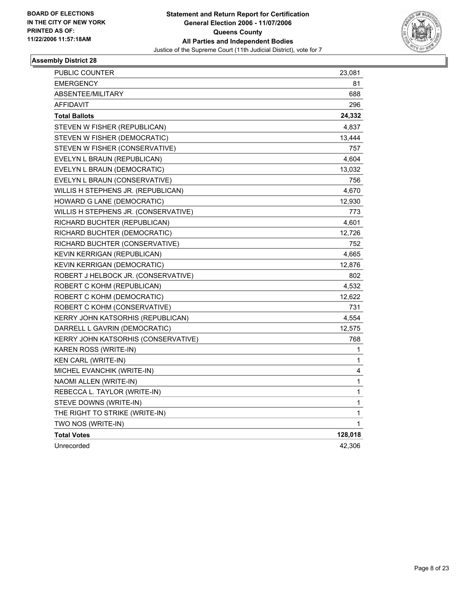

| PUBLIC COUNTER                       | 23,081  |
|--------------------------------------|---------|
| <b>EMERGENCY</b>                     | 81      |
| ABSENTEE/MILITARY                    | 688     |
| AFFIDAVIT                            | 296     |
| <b>Total Ballots</b>                 | 24,332  |
| STEVEN W FISHER (REPUBLICAN)         | 4,837   |
| STEVEN W FISHER (DEMOCRATIC)         | 13,444  |
| STEVEN W FISHER (CONSERVATIVE)       | 757     |
| EVELYN L BRAUN (REPUBLICAN)          | 4,604   |
| EVELYN L BRAUN (DEMOCRATIC)          | 13,032  |
| EVELYN L BRAUN (CONSERVATIVE)        | 756     |
| WILLIS H STEPHENS JR. (REPUBLICAN)   | 4,670   |
| <b>HOWARD G LANE (DEMOCRATIC)</b>    | 12,930  |
| WILLIS H STEPHENS JR. (CONSERVATIVE) | 773     |
| RICHARD BUCHTER (REPUBLICAN)         | 4,601   |
| RICHARD BUCHTER (DEMOCRATIC)         | 12,726  |
| RICHARD BUCHTER (CONSERVATIVE)       | 752     |
| KEVIN KERRIGAN (REPUBLICAN)          | 4,665   |
| <b>KEVIN KERRIGAN (DEMOCRATIC)</b>   | 12,876  |
| ROBERT J HELBOCK JR. (CONSERVATIVE)  | 802     |
| ROBERT C KOHM (REPUBLICAN)           | 4,532   |
| ROBERT C KOHM (DEMOCRATIC)           | 12,622  |
| ROBERT C KOHM (CONSERVATIVE)         | 731     |
| KERRY JOHN KATSORHIS (REPUBLICAN)    | 4,554   |
| DARRELL L GAVRIN (DEMOCRATIC)        | 12,575  |
| KERRY JOHN KATSORHIS (CONSERVATIVE)  | 768     |
| KAREN ROSS (WRITE-IN)                | 1       |
| KEN CARL (WRITE-IN)                  | 1       |
| MICHEL EVANCHIK (WRITE-IN)           | 4       |
| NAOMI ALLEN (WRITE-IN)               | 1       |
| REBECCA L. TAYLOR (WRITE-IN)         | 1       |
| STEVE DOWNS (WRITE-IN)               | 1       |
| THE RIGHT TO STRIKE (WRITE-IN)       | 1       |
| TWO NOS (WRITE-IN)                   | 1       |
| <b>Total Votes</b>                   | 128,018 |
| Unrecorded                           | 42,306  |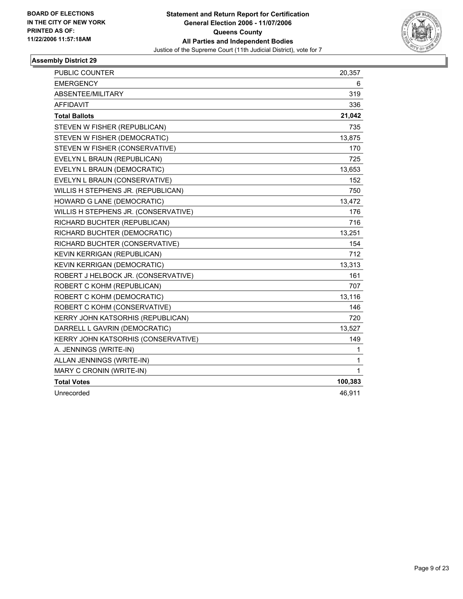

| PUBLIC COUNTER                       | 20,357  |
|--------------------------------------|---------|
| <b>EMERGENCY</b>                     | 6       |
| <b>ABSENTEE/MILITARY</b>             | 319     |
| <b>AFFIDAVIT</b>                     | 336     |
| <b>Total Ballots</b>                 | 21,042  |
| STEVEN W FISHER (REPUBLICAN)         | 735     |
| STEVEN W FISHER (DEMOCRATIC)         | 13,875  |
| STEVEN W FISHER (CONSERVATIVE)       | 170     |
| EVELYN L BRAUN (REPUBLICAN)          | 725     |
| EVELYN L BRAUN (DEMOCRATIC)          | 13,653  |
| EVELYN L BRAUN (CONSERVATIVE)        | 152     |
| WILLIS H STEPHENS JR. (REPUBLICAN)   | 750     |
| <b>HOWARD G LANE (DEMOCRATIC)</b>    | 13,472  |
| WILLIS H STEPHENS JR. (CONSERVATIVE) | 176     |
| RICHARD BUCHTER (REPUBLICAN)         | 716     |
| RICHARD BUCHTER (DEMOCRATIC)         | 13,251  |
| RICHARD BUCHTER (CONSERVATIVE)       | 154     |
| KEVIN KERRIGAN (REPUBLICAN)          | 712     |
| KEVIN KERRIGAN (DEMOCRATIC)          | 13,313  |
| ROBERT J HELBOCK JR. (CONSERVATIVE)  | 161     |
| ROBERT C KOHM (REPUBLICAN)           | 707     |
| ROBERT C KOHM (DEMOCRATIC)           | 13,116  |
| ROBERT C KOHM (CONSERVATIVE)         | 146     |
| KERRY JOHN KATSORHIS (REPUBLICAN)    | 720     |
| DARRELL L GAVRIN (DEMOCRATIC)        | 13,527  |
| KERRY JOHN KATSORHIS (CONSERVATIVE)  | 149     |
| A. JENNINGS (WRITE-IN)               | 1       |
| ALLAN JENNINGS (WRITE-IN)            | 1       |
| MARY C CRONIN (WRITE-IN)             | 1       |
| <b>Total Votes</b>                   | 100,383 |
| Unrecorded                           | 46,911  |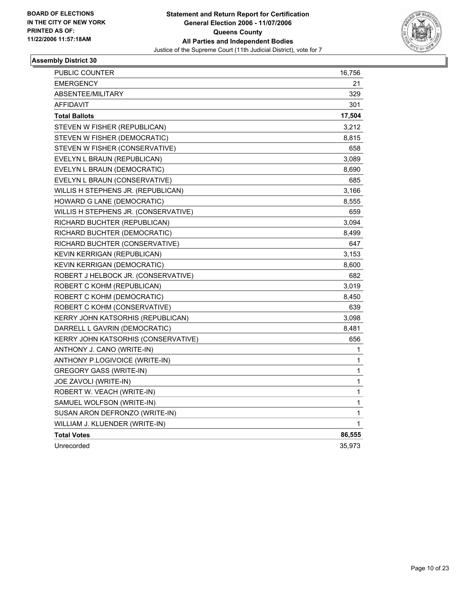

| 21<br><b>EMERGENCY</b><br>329<br>ABSENTEE/MILITARY<br>AFFIDAVIT<br>301<br>17,504<br><b>Total Ballots</b><br>STEVEN W FISHER (REPUBLICAN)<br>3,212<br>STEVEN W FISHER (DEMOCRATIC)<br>8,815<br>STEVEN W FISHER (CONSERVATIVE)<br>658<br>EVELYN L BRAUN (REPUBLICAN)<br>3,089<br>EVELYN L BRAUN (DEMOCRATIC)<br>8,690<br>685<br>EVELYN L BRAUN (CONSERVATIVE)<br>WILLIS H STEPHENS JR. (REPUBLICAN)<br>3.166<br><b>HOWARD G LANE (DEMOCRATIC)</b><br>8,555<br>659<br>WILLIS H STEPHENS JR. (CONSERVATIVE)<br>RICHARD BUCHTER (REPUBLICAN)<br>3,094<br>RICHARD BUCHTER (DEMOCRATIC)<br>8,499<br>RICHARD BUCHTER (CONSERVATIVE)<br>647<br>KEVIN KERRIGAN (REPUBLICAN)<br>3,153<br><b>KEVIN KERRIGAN (DEMOCRATIC)</b><br>8,600<br>ROBERT J HELBOCK JR. (CONSERVATIVE)<br>682<br>3,019<br>ROBERT C KOHM (REPUBLICAN)<br>ROBERT C KOHM (DEMOCRATIC)<br>8,450<br>ROBERT C KOHM (CONSERVATIVE)<br>639<br>KERRY JOHN KATSORHIS (REPUBLICAN)<br>3,098<br>DARRELL L GAVRIN (DEMOCRATIC)<br>8,481<br>656<br>KERRY JOHN KATSORHIS (CONSERVATIVE) |
|------------------------------------------------------------------------------------------------------------------------------------------------------------------------------------------------------------------------------------------------------------------------------------------------------------------------------------------------------------------------------------------------------------------------------------------------------------------------------------------------------------------------------------------------------------------------------------------------------------------------------------------------------------------------------------------------------------------------------------------------------------------------------------------------------------------------------------------------------------------------------------------------------------------------------------------------------------------------------------------------------------------------------------|
|                                                                                                                                                                                                                                                                                                                                                                                                                                                                                                                                                                                                                                                                                                                                                                                                                                                                                                                                                                                                                                    |
|                                                                                                                                                                                                                                                                                                                                                                                                                                                                                                                                                                                                                                                                                                                                                                                                                                                                                                                                                                                                                                    |
|                                                                                                                                                                                                                                                                                                                                                                                                                                                                                                                                                                                                                                                                                                                                                                                                                                                                                                                                                                                                                                    |
|                                                                                                                                                                                                                                                                                                                                                                                                                                                                                                                                                                                                                                                                                                                                                                                                                                                                                                                                                                                                                                    |
|                                                                                                                                                                                                                                                                                                                                                                                                                                                                                                                                                                                                                                                                                                                                                                                                                                                                                                                                                                                                                                    |
|                                                                                                                                                                                                                                                                                                                                                                                                                                                                                                                                                                                                                                                                                                                                                                                                                                                                                                                                                                                                                                    |
|                                                                                                                                                                                                                                                                                                                                                                                                                                                                                                                                                                                                                                                                                                                                                                                                                                                                                                                                                                                                                                    |
|                                                                                                                                                                                                                                                                                                                                                                                                                                                                                                                                                                                                                                                                                                                                                                                                                                                                                                                                                                                                                                    |
|                                                                                                                                                                                                                                                                                                                                                                                                                                                                                                                                                                                                                                                                                                                                                                                                                                                                                                                                                                                                                                    |
|                                                                                                                                                                                                                                                                                                                                                                                                                                                                                                                                                                                                                                                                                                                                                                                                                                                                                                                                                                                                                                    |
|                                                                                                                                                                                                                                                                                                                                                                                                                                                                                                                                                                                                                                                                                                                                                                                                                                                                                                                                                                                                                                    |
|                                                                                                                                                                                                                                                                                                                                                                                                                                                                                                                                                                                                                                                                                                                                                                                                                                                                                                                                                                                                                                    |
|                                                                                                                                                                                                                                                                                                                                                                                                                                                                                                                                                                                                                                                                                                                                                                                                                                                                                                                                                                                                                                    |
|                                                                                                                                                                                                                                                                                                                                                                                                                                                                                                                                                                                                                                                                                                                                                                                                                                                                                                                                                                                                                                    |
|                                                                                                                                                                                                                                                                                                                                                                                                                                                                                                                                                                                                                                                                                                                                                                                                                                                                                                                                                                                                                                    |
|                                                                                                                                                                                                                                                                                                                                                                                                                                                                                                                                                                                                                                                                                                                                                                                                                                                                                                                                                                                                                                    |
|                                                                                                                                                                                                                                                                                                                                                                                                                                                                                                                                                                                                                                                                                                                                                                                                                                                                                                                                                                                                                                    |
|                                                                                                                                                                                                                                                                                                                                                                                                                                                                                                                                                                                                                                                                                                                                                                                                                                                                                                                                                                                                                                    |
|                                                                                                                                                                                                                                                                                                                                                                                                                                                                                                                                                                                                                                                                                                                                                                                                                                                                                                                                                                                                                                    |
|                                                                                                                                                                                                                                                                                                                                                                                                                                                                                                                                                                                                                                                                                                                                                                                                                                                                                                                                                                                                                                    |
|                                                                                                                                                                                                                                                                                                                                                                                                                                                                                                                                                                                                                                                                                                                                                                                                                                                                                                                                                                                                                                    |
|                                                                                                                                                                                                                                                                                                                                                                                                                                                                                                                                                                                                                                                                                                                                                                                                                                                                                                                                                                                                                                    |
|                                                                                                                                                                                                                                                                                                                                                                                                                                                                                                                                                                                                                                                                                                                                                                                                                                                                                                                                                                                                                                    |
|                                                                                                                                                                                                                                                                                                                                                                                                                                                                                                                                                                                                                                                                                                                                                                                                                                                                                                                                                                                                                                    |
|                                                                                                                                                                                                                                                                                                                                                                                                                                                                                                                                                                                                                                                                                                                                                                                                                                                                                                                                                                                                                                    |
| 1<br>ANTHONY J. CANO (WRITE-IN)                                                                                                                                                                                                                                                                                                                                                                                                                                                                                                                                                                                                                                                                                                                                                                                                                                                                                                                                                                                                    |
| ANTHONY P.LOGIVOICE (WRITE-IN)<br>1                                                                                                                                                                                                                                                                                                                                                                                                                                                                                                                                                                                                                                                                                                                                                                                                                                                                                                                                                                                                |
| 1<br>GREGORY GASS (WRITE-IN)                                                                                                                                                                                                                                                                                                                                                                                                                                                                                                                                                                                                                                                                                                                                                                                                                                                                                                                                                                                                       |
| 1<br>JOE ZAVOLI (WRITE-IN)                                                                                                                                                                                                                                                                                                                                                                                                                                                                                                                                                                                                                                                                                                                                                                                                                                                                                                                                                                                                         |
| 1<br>ROBERT W. VEACH (WRITE-IN)                                                                                                                                                                                                                                                                                                                                                                                                                                                                                                                                                                                                                                                                                                                                                                                                                                                                                                                                                                                                    |
| SAMUEL WOLFSON (WRITE-IN)<br>1                                                                                                                                                                                                                                                                                                                                                                                                                                                                                                                                                                                                                                                                                                                                                                                                                                                                                                                                                                                                     |
| SUSAN ARON DEFRONZO (WRITE-IN)<br>1                                                                                                                                                                                                                                                                                                                                                                                                                                                                                                                                                                                                                                                                                                                                                                                                                                                                                                                                                                                                |
| 1<br>WILLIAM J. KLUENDER (WRITE-IN)                                                                                                                                                                                                                                                                                                                                                                                                                                                                                                                                                                                                                                                                                                                                                                                                                                                                                                                                                                                                |
| <b>Total Votes</b><br>86,555                                                                                                                                                                                                                                                                                                                                                                                                                                                                                                                                                                                                                                                                                                                                                                                                                                                                                                                                                                                                       |
| Unrecorded<br>35,973                                                                                                                                                                                                                                                                                                                                                                                                                                                                                                                                                                                                                                                                                                                                                                                                                                                                                                                                                                                                               |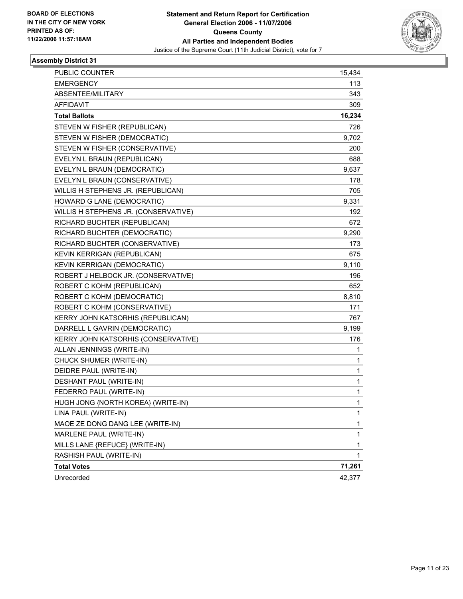

| <b>PUBLIC COUNTER</b>                | 15,434 |
|--------------------------------------|--------|
| <b>EMERGENCY</b>                     | 113    |
| ABSENTEE/MILITARY                    | 343    |
| <b>AFFIDAVIT</b>                     | 309    |
| <b>Total Ballots</b>                 | 16,234 |
| STEVEN W FISHER (REPUBLICAN)         | 726    |
| STEVEN W FISHER (DEMOCRATIC)         | 9,702  |
| STEVEN W FISHER (CONSERVATIVE)       | 200    |
| EVELYN L BRAUN (REPUBLICAN)          | 688    |
| EVELYN L BRAUN (DEMOCRATIC)          | 9,637  |
| EVELYN L BRAUN (CONSERVATIVE)        | 178    |
| WILLIS H STEPHENS JR. (REPUBLICAN)   | 705    |
| HOWARD G LANE (DEMOCRATIC)           | 9,331  |
| WILLIS H STEPHENS JR. (CONSERVATIVE) | 192    |
| RICHARD BUCHTER (REPUBLICAN)         | 672    |
| RICHARD BUCHTER (DEMOCRATIC)         | 9,290  |
| RICHARD BUCHTER (CONSERVATIVE)       | 173    |
| KEVIN KERRIGAN (REPUBLICAN)          | 675    |
| KEVIN KERRIGAN (DEMOCRATIC)          | 9,110  |
| ROBERT J HELBOCK JR. (CONSERVATIVE)  | 196    |
| ROBERT C KOHM (REPUBLICAN)           | 652    |
| ROBERT C KOHM (DEMOCRATIC)           | 8,810  |
| ROBERT C KOHM (CONSERVATIVE)         | 171    |
| KERRY JOHN KATSORHIS (REPUBLICAN)    | 767    |
| DARRELL L GAVRIN (DEMOCRATIC)        | 9,199  |
| KERRY JOHN KATSORHIS (CONSERVATIVE)  | 176    |
| ALLAN JENNINGS (WRITE-IN)            | 1      |
| CHUCK SHUMER (WRITE-IN)              | 1      |
| DEIDRE PAUL (WRITE-IN)               | 1      |
| DESHANT PAUL (WRITE-IN)              | 1      |
| FEDERRO PAUL (WRITE-IN)              | 1      |
| HUGH JONG {NORTH KOREA} (WRITE-IN)   | 1      |
| LINA PAUL (WRITE-IN)                 | 1      |
| MAOE ZE DONG DANG LEE (WRITE-IN)     | 1      |
| MARLENE PAUL (WRITE-IN)              | 1      |
| MILLS LANE {REFUCE} (WRITE-IN)       | 1      |
| RASHISH PAUL (WRITE-IN)              | 1      |
| <b>Total Votes</b>                   | 71,261 |
| Unrecorded                           | 42,377 |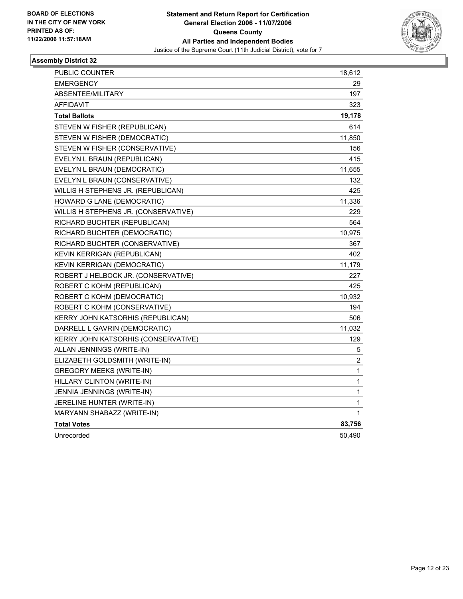

| PUBLIC COUNTER                       | 18,612                  |
|--------------------------------------|-------------------------|
| <b>EMERGENCY</b>                     | 29                      |
| ABSENTEE/MILITARY                    | 197                     |
| <b>AFFIDAVIT</b>                     | 323                     |
| <b>Total Ballots</b>                 | 19,178                  |
| STEVEN W FISHER (REPUBLICAN)         | 614                     |
| STEVEN W FISHER (DEMOCRATIC)         | 11,850                  |
| STEVEN W FISHER (CONSERVATIVE)       | 156                     |
| EVELYN L BRAUN (REPUBLICAN)          | 415                     |
| EVELYN L BRAUN (DEMOCRATIC)          | 11,655                  |
| EVELYN L BRAUN (CONSERVATIVE)        | 132                     |
| WILLIS H STEPHENS JR. (REPUBLICAN)   | 425                     |
| HOWARD G LANE (DEMOCRATIC)           | 11,336                  |
| WILLIS H STEPHENS JR. (CONSERVATIVE) | 229                     |
| RICHARD BUCHTER (REPUBLICAN)         | 564                     |
| RICHARD BUCHTER (DEMOCRATIC)         | 10,975                  |
| RICHARD BUCHTER (CONSERVATIVE)       | 367                     |
| KEVIN KERRIGAN (REPUBLICAN)          | 402                     |
| KEVIN KERRIGAN (DEMOCRATIC)          | 11,179                  |
| ROBERT J HELBOCK JR. (CONSERVATIVE)  | 227                     |
| ROBERT C KOHM (REPUBLICAN)           | 425                     |
| ROBERT C KOHM (DEMOCRATIC)           | 10,932                  |
| ROBERT C KOHM (CONSERVATIVE)         | 194                     |
| KERRY JOHN KATSORHIS (REPUBLICAN)    | 506                     |
| DARRELL L GAVRIN (DEMOCRATIC)        | 11,032                  |
| KERRY JOHN KATSORHIS (CONSERVATIVE)  | 129                     |
| ALLAN JENNINGS (WRITE-IN)            | 5                       |
| ELIZABETH GOLDSMITH (WRITE-IN)       | $\overline{\mathbf{c}}$ |
| GREGORY MEEKS (WRITE-IN)             | 1                       |
| HILLARY CLINTON (WRITE-IN)           | 1                       |
| JENNIA JENNINGS (WRITE-IN)           | 1                       |
| JERELINE HUNTER (WRITE-IN)           | 1                       |
| MARYANN SHABAZZ (WRITE-IN)           | 1                       |
| <b>Total Votes</b>                   | 83,756                  |
| Unrecorded                           | 50,490                  |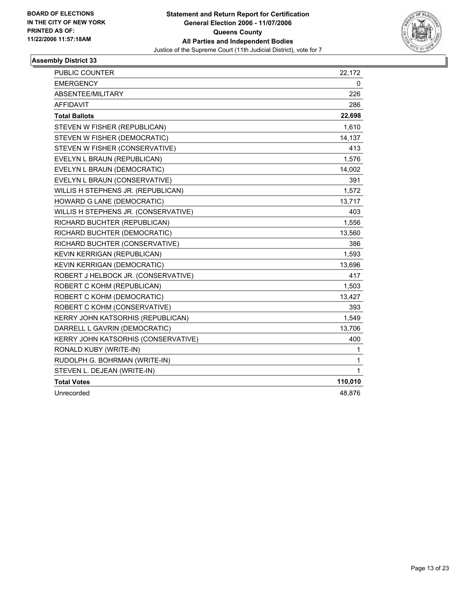

| <b>EMERGENCY</b><br>0<br>ABSENTEE/MILITARY<br>226<br>286<br><b>AFFIDAVIT</b><br>22,698<br><b>Total Ballots</b><br>STEVEN W FISHER (REPUBLICAN)<br>1,610<br>14,137<br>STEVEN W FISHER (DEMOCRATIC)<br>STEVEN W FISHER (CONSERVATIVE)<br>413<br>1,576<br>EVELYN L BRAUN (REPUBLICAN)<br>EVELYN L BRAUN (DEMOCRATIC)<br>14,002<br>391<br>EVELYN L BRAUN (CONSERVATIVE)<br>1,572<br>WILLIS H STEPHENS JR. (REPUBLICAN)<br>13,717<br><b>HOWARD G LANE (DEMOCRATIC)</b><br>WILLIS H STEPHENS JR. (CONSERVATIVE)<br>403<br>1,556<br>RICHARD BUCHTER (REPUBLICAN)<br>RICHARD BUCHTER (DEMOCRATIC)<br>13,560<br>RICHARD BUCHTER (CONSERVATIVE)<br>386<br>1,593<br>KEVIN KERRIGAN (REPUBLICAN)<br><b>KEVIN KERRIGAN (DEMOCRATIC)</b><br>13,696<br>ROBERT J HELBOCK JR. (CONSERVATIVE)<br>417<br>ROBERT C KOHM (REPUBLICAN)<br>1,503<br>ROBERT C KOHM (DEMOCRATIC)<br>13,427<br>393<br>ROBERT C KOHM (CONSERVATIVE)<br>KERRY JOHN KATSORHIS (REPUBLICAN)<br>1,549<br>DARRELL L GAVRIN (DEMOCRATIC)<br>13,706<br>KERRY JOHN KATSORHIS (CONSERVATIVE)<br>400<br>RONALD KUBY (WRITE-IN)<br>1<br>RUDOLPH G. BOHRMAN (WRITE-IN)<br>1<br>$\mathbf 1$<br>STEVEN L. DEJEAN (WRITE-IN)<br><b>Total Votes</b><br>110,010 | <b>PUBLIC COUNTER</b> | 22,172 |  |
|-----------------------------------------------------------------------------------------------------------------------------------------------------------------------------------------------------------------------------------------------------------------------------------------------------------------------------------------------------------------------------------------------------------------------------------------------------------------------------------------------------------------------------------------------------------------------------------------------------------------------------------------------------------------------------------------------------------------------------------------------------------------------------------------------------------------------------------------------------------------------------------------------------------------------------------------------------------------------------------------------------------------------------------------------------------------------------------------------------------------------------------------------------------------------------------------------------|-----------------------|--------|--|
|                                                                                                                                                                                                                                                                                                                                                                                                                                                                                                                                                                                                                                                                                                                                                                                                                                                                                                                                                                                                                                                                                                                                                                                                     |                       |        |  |
|                                                                                                                                                                                                                                                                                                                                                                                                                                                                                                                                                                                                                                                                                                                                                                                                                                                                                                                                                                                                                                                                                                                                                                                                     |                       |        |  |
|                                                                                                                                                                                                                                                                                                                                                                                                                                                                                                                                                                                                                                                                                                                                                                                                                                                                                                                                                                                                                                                                                                                                                                                                     |                       |        |  |
|                                                                                                                                                                                                                                                                                                                                                                                                                                                                                                                                                                                                                                                                                                                                                                                                                                                                                                                                                                                                                                                                                                                                                                                                     |                       |        |  |
|                                                                                                                                                                                                                                                                                                                                                                                                                                                                                                                                                                                                                                                                                                                                                                                                                                                                                                                                                                                                                                                                                                                                                                                                     |                       |        |  |
|                                                                                                                                                                                                                                                                                                                                                                                                                                                                                                                                                                                                                                                                                                                                                                                                                                                                                                                                                                                                                                                                                                                                                                                                     |                       |        |  |
|                                                                                                                                                                                                                                                                                                                                                                                                                                                                                                                                                                                                                                                                                                                                                                                                                                                                                                                                                                                                                                                                                                                                                                                                     |                       |        |  |
|                                                                                                                                                                                                                                                                                                                                                                                                                                                                                                                                                                                                                                                                                                                                                                                                                                                                                                                                                                                                                                                                                                                                                                                                     |                       |        |  |
|                                                                                                                                                                                                                                                                                                                                                                                                                                                                                                                                                                                                                                                                                                                                                                                                                                                                                                                                                                                                                                                                                                                                                                                                     |                       |        |  |
|                                                                                                                                                                                                                                                                                                                                                                                                                                                                                                                                                                                                                                                                                                                                                                                                                                                                                                                                                                                                                                                                                                                                                                                                     |                       |        |  |
|                                                                                                                                                                                                                                                                                                                                                                                                                                                                                                                                                                                                                                                                                                                                                                                                                                                                                                                                                                                                                                                                                                                                                                                                     |                       |        |  |
|                                                                                                                                                                                                                                                                                                                                                                                                                                                                                                                                                                                                                                                                                                                                                                                                                                                                                                                                                                                                                                                                                                                                                                                                     |                       |        |  |
|                                                                                                                                                                                                                                                                                                                                                                                                                                                                                                                                                                                                                                                                                                                                                                                                                                                                                                                                                                                                                                                                                                                                                                                                     |                       |        |  |
|                                                                                                                                                                                                                                                                                                                                                                                                                                                                                                                                                                                                                                                                                                                                                                                                                                                                                                                                                                                                                                                                                                                                                                                                     |                       |        |  |
|                                                                                                                                                                                                                                                                                                                                                                                                                                                                                                                                                                                                                                                                                                                                                                                                                                                                                                                                                                                                                                                                                                                                                                                                     |                       |        |  |
|                                                                                                                                                                                                                                                                                                                                                                                                                                                                                                                                                                                                                                                                                                                                                                                                                                                                                                                                                                                                                                                                                                                                                                                                     |                       |        |  |
|                                                                                                                                                                                                                                                                                                                                                                                                                                                                                                                                                                                                                                                                                                                                                                                                                                                                                                                                                                                                                                                                                                                                                                                                     |                       |        |  |
|                                                                                                                                                                                                                                                                                                                                                                                                                                                                                                                                                                                                                                                                                                                                                                                                                                                                                                                                                                                                                                                                                                                                                                                                     |                       |        |  |
|                                                                                                                                                                                                                                                                                                                                                                                                                                                                                                                                                                                                                                                                                                                                                                                                                                                                                                                                                                                                                                                                                                                                                                                                     |                       |        |  |
|                                                                                                                                                                                                                                                                                                                                                                                                                                                                                                                                                                                                                                                                                                                                                                                                                                                                                                                                                                                                                                                                                                                                                                                                     |                       |        |  |
|                                                                                                                                                                                                                                                                                                                                                                                                                                                                                                                                                                                                                                                                                                                                                                                                                                                                                                                                                                                                                                                                                                                                                                                                     |                       |        |  |
|                                                                                                                                                                                                                                                                                                                                                                                                                                                                                                                                                                                                                                                                                                                                                                                                                                                                                                                                                                                                                                                                                                                                                                                                     |                       |        |  |
|                                                                                                                                                                                                                                                                                                                                                                                                                                                                                                                                                                                                                                                                                                                                                                                                                                                                                                                                                                                                                                                                                                                                                                                                     |                       |        |  |
|                                                                                                                                                                                                                                                                                                                                                                                                                                                                                                                                                                                                                                                                                                                                                                                                                                                                                                                                                                                                                                                                                                                                                                                                     |                       |        |  |
|                                                                                                                                                                                                                                                                                                                                                                                                                                                                                                                                                                                                                                                                                                                                                                                                                                                                                                                                                                                                                                                                                                                                                                                                     |                       |        |  |
|                                                                                                                                                                                                                                                                                                                                                                                                                                                                                                                                                                                                                                                                                                                                                                                                                                                                                                                                                                                                                                                                                                                                                                                                     |                       |        |  |
|                                                                                                                                                                                                                                                                                                                                                                                                                                                                                                                                                                                                                                                                                                                                                                                                                                                                                                                                                                                                                                                                                                                                                                                                     |                       |        |  |
|                                                                                                                                                                                                                                                                                                                                                                                                                                                                                                                                                                                                                                                                                                                                                                                                                                                                                                                                                                                                                                                                                                                                                                                                     |                       |        |  |
|                                                                                                                                                                                                                                                                                                                                                                                                                                                                                                                                                                                                                                                                                                                                                                                                                                                                                                                                                                                                                                                                                                                                                                                                     |                       |        |  |
|                                                                                                                                                                                                                                                                                                                                                                                                                                                                                                                                                                                                                                                                                                                                                                                                                                                                                                                                                                                                                                                                                                                                                                                                     | Unrecorded            | 48,876 |  |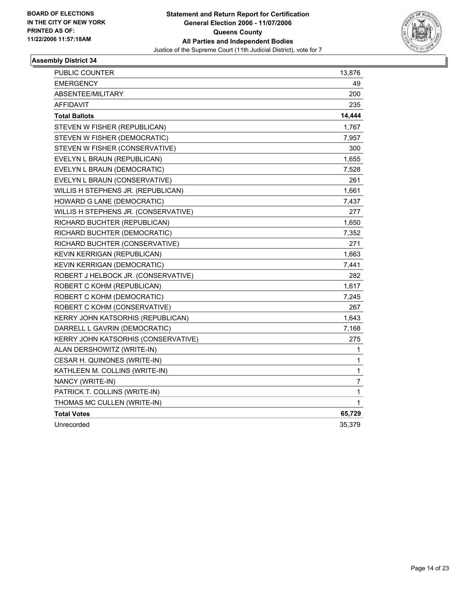

| PUBLIC COUNTER                       | 13,876      |
|--------------------------------------|-------------|
| <b>EMERGENCY</b>                     | 49          |
| ABSENTEE/MILITARY                    | 200         |
| AFFIDAVIT                            | 235         |
| <b>Total Ballots</b>                 | 14,444      |
| STEVEN W FISHER (REPUBLICAN)         | 1,767       |
| STEVEN W FISHER (DEMOCRATIC)         | 7,957       |
| STEVEN W FISHER (CONSERVATIVE)       | 300         |
| EVELYN L BRAUN (REPUBLICAN)          | 1,655       |
| EVELYN L BRAUN (DEMOCRATIC)          | 7,528       |
| EVELYN L BRAUN (CONSERVATIVE)        | 261         |
| WILLIS H STEPHENS JR. (REPUBLICAN)   | 1,661       |
| HOWARD G LANE (DEMOCRATIC)           | 7,437       |
| WILLIS H STEPHENS JR. (CONSERVATIVE) | 277         |
| RICHARD BUCHTER (REPUBLICAN)         | 1,650       |
| RICHARD BUCHTER (DEMOCRATIC)         | 7,352       |
| RICHARD BUCHTER (CONSERVATIVE)       | 271         |
| KEVIN KERRIGAN (REPUBLICAN)          | 1,663       |
| KEVIN KERRIGAN (DEMOCRATIC)          | 7,441       |
| ROBERT J HELBOCK JR. (CONSERVATIVE)  | 282         |
| ROBERT C KOHM (REPUBLICAN)           | 1,617       |
| ROBERT C KOHM (DEMOCRATIC)           | 7,245       |
| ROBERT C KOHM (CONSERVATIVE)         | 267         |
| KERRY JOHN KATSORHIS (REPUBLICAN)    | 1,643       |
| DARRELL L GAVRIN (DEMOCRATIC)        | 7,168       |
| KERRY JOHN KATSORHIS (CONSERVATIVE)  | 275         |
| ALAN DERSHOWITZ (WRITE-IN)           | 1           |
| CESAR H. QUINONES (WRITE-IN)         | 1           |
| KATHLEEN M. COLLINS (WRITE-IN)       | 1           |
| NANCY (WRITE-IN)                     | 7           |
| PATRICK T. COLLINS (WRITE-IN)        | 1           |
| THOMAS MC CULLEN (WRITE-IN)          | $\mathbf 1$ |
| <b>Total Votes</b>                   | 65,729      |
| Unrecorded                           | 35,379      |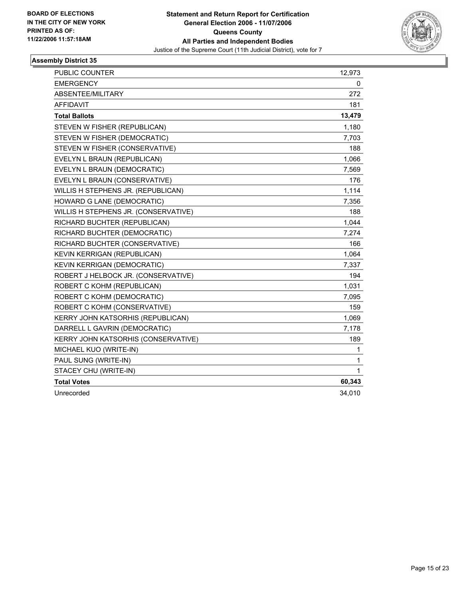

| <b>PUBLIC COUNTER</b>                | 12,973 |  |
|--------------------------------------|--------|--|
| <b>EMERGENCY</b>                     | 0      |  |
| ABSENTEE/MILITARY                    | 272    |  |
| <b>AFFIDAVIT</b>                     | 181    |  |
| <b>Total Ballots</b>                 | 13,479 |  |
| STEVEN W FISHER (REPUBLICAN)         | 1,180  |  |
| STEVEN W FISHER (DEMOCRATIC)         | 7,703  |  |
| STEVEN W FISHER (CONSERVATIVE)       | 188    |  |
| EVELYN L BRAUN (REPUBLICAN)          | 1,066  |  |
| EVELYN L BRAUN (DEMOCRATIC)          | 7,569  |  |
| EVELYN L BRAUN (CONSERVATIVE)        | 176    |  |
| WILLIS H STEPHENS JR. (REPUBLICAN)   | 1,114  |  |
| HOWARD G LANE (DEMOCRATIC)           | 7,356  |  |
| WILLIS H STEPHENS JR. (CONSERVATIVE) | 188    |  |
| RICHARD BUCHTER (REPUBLICAN)         | 1,044  |  |
| RICHARD BUCHTER (DEMOCRATIC)         | 7,274  |  |
| RICHARD BUCHTER (CONSERVATIVE)       | 166    |  |
| KEVIN KERRIGAN (REPUBLICAN)          | 1,064  |  |
| KEVIN KERRIGAN (DEMOCRATIC)          | 7,337  |  |
| ROBERT J HELBOCK JR. (CONSERVATIVE)  | 194    |  |
| ROBERT C KOHM (REPUBLICAN)           | 1,031  |  |
| ROBERT C KOHM (DEMOCRATIC)           | 7,095  |  |
| ROBERT C KOHM (CONSERVATIVE)         | 159    |  |
| KERRY JOHN KATSORHIS (REPUBLICAN)    | 1,069  |  |
| DARRELL L GAVRIN (DEMOCRATIC)        | 7,178  |  |
| KERRY JOHN KATSORHIS (CONSERVATIVE)  | 189    |  |
| MICHAEL KUO (WRITE-IN)               | 1      |  |
| PAUL SUNG (WRITE-IN)                 | 1      |  |
| STACEY CHU (WRITE-IN)                | 1      |  |
| <b>Total Votes</b>                   | 60,343 |  |
| Unrecorded                           | 34,010 |  |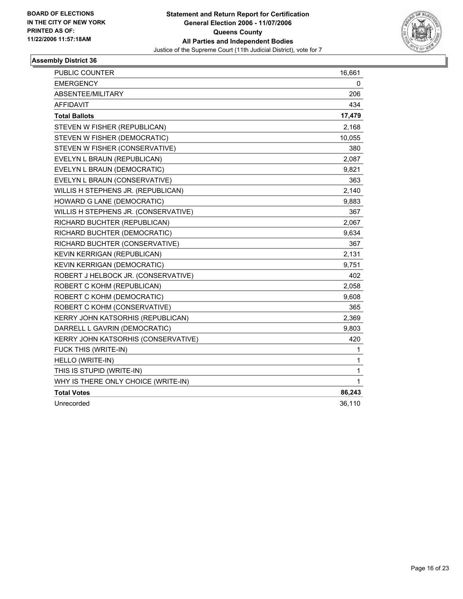

| PUBLIC COUNTER                       | 16,661 |
|--------------------------------------|--------|
| <b>EMERGENCY</b>                     | 0      |
| ABSENTEE/MILITARY                    | 206    |
| <b>AFFIDAVIT</b>                     | 434    |
| <b>Total Ballots</b>                 | 17,479 |
| STEVEN W FISHER (REPUBLICAN)         | 2,168  |
| STEVEN W FISHER (DEMOCRATIC)         | 10,055 |
| STEVEN W FISHER (CONSERVATIVE)       | 380    |
| EVELYN L BRAUN (REPUBLICAN)          | 2,087  |
| EVELYN L BRAUN (DEMOCRATIC)          | 9,821  |
| EVELYN L BRAUN (CONSERVATIVE)        | 363    |
| WILLIS H STEPHENS JR. (REPUBLICAN)   | 2,140  |
| HOWARD G LANE (DEMOCRATIC)           | 9,883  |
| WILLIS H STEPHENS JR. (CONSERVATIVE) | 367    |
| RICHARD BUCHTER (REPUBLICAN)         | 2,067  |
| RICHARD BUCHTER (DEMOCRATIC)         | 9,634  |
| RICHARD BUCHTER (CONSERVATIVE)       | 367    |
| KEVIN KERRIGAN (REPUBLICAN)          | 2,131  |
| <b>KEVIN KERRIGAN (DEMOCRATIC)</b>   | 9,751  |
| ROBERT J HELBOCK JR. (CONSERVATIVE)  | 402    |
| ROBERT C KOHM (REPUBLICAN)           | 2,058  |
| ROBERT C KOHM (DEMOCRATIC)           | 9,608  |
| ROBERT C KOHM (CONSERVATIVE)         | 365    |
| KERRY JOHN KATSORHIS (REPUBLICAN)    | 2,369  |
| DARRELL L GAVRIN (DEMOCRATIC)        | 9,803  |
| KERRY JOHN KATSORHIS (CONSERVATIVE)  | 420    |
| FUCK THIS (WRITE-IN)                 | 1      |
| HELLO (WRITE-IN)                     | 1      |
| THIS IS STUPID (WRITE-IN)            | 1      |
| WHY IS THERE ONLY CHOICE (WRITE-IN)  | 1      |
| <b>Total Votes</b>                   | 86,243 |
| Unrecorded                           | 36,110 |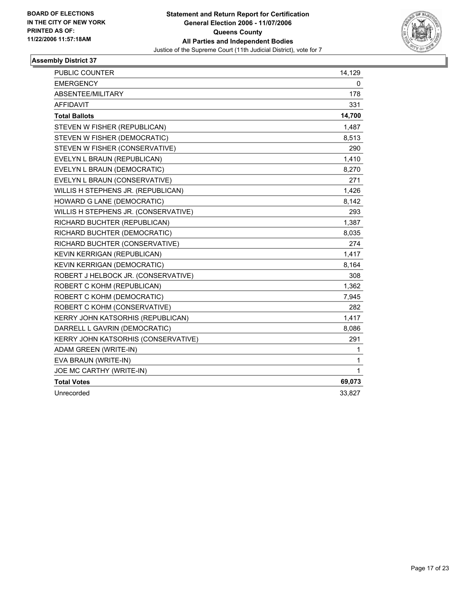

| PUBLIC COUNTER                       | 14,129 |
|--------------------------------------|--------|
| <b>EMERGENCY</b>                     | 0      |
| <b>ABSENTEE/MILITARY</b>             | 178    |
| <b>AFFIDAVIT</b>                     | 331    |
| <b>Total Ballots</b>                 | 14,700 |
| STEVEN W FISHER (REPUBLICAN)         | 1,487  |
| STEVEN W FISHER (DEMOCRATIC)         | 8,513  |
| STEVEN W FISHER (CONSERVATIVE)       | 290    |
| EVELYN L BRAUN (REPUBLICAN)          | 1,410  |
| EVELYN L BRAUN (DEMOCRATIC)          | 8,270  |
| EVELYN L BRAUN (CONSERVATIVE)        | 271    |
| WILLIS H STEPHENS JR. (REPUBLICAN)   | 1,426  |
| HOWARD G LANE (DEMOCRATIC)           | 8,142  |
| WILLIS H STEPHENS JR. (CONSERVATIVE) | 293    |
| RICHARD BUCHTER (REPUBLICAN)         | 1,387  |
| RICHARD BUCHTER (DEMOCRATIC)         | 8,035  |
| RICHARD BUCHTER (CONSERVATIVE)       | 274    |
| KEVIN KERRIGAN (REPUBLICAN)          | 1,417  |
| KEVIN KERRIGAN (DEMOCRATIC)          | 8,164  |
| ROBERT J HELBOCK JR. (CONSERVATIVE)  | 308    |
| ROBERT C KOHM (REPUBLICAN)           | 1,362  |
| ROBERT C KOHM (DEMOCRATIC)           | 7,945  |
| ROBERT C KOHM (CONSERVATIVE)         | 282    |
| KERRY JOHN KATSORHIS (REPUBLICAN)    | 1,417  |
| DARRELL L GAVRIN (DEMOCRATIC)        | 8,086  |
| KERRY JOHN KATSORHIS (CONSERVATIVE)  | 291    |
| ADAM GREEN (WRITE-IN)                | 1      |
| EVA BRAUN (WRITE-IN)                 | 1      |
| JOE MC CARTHY (WRITE-IN)             | 1      |
| <b>Total Votes</b>                   | 69,073 |
| Unrecorded                           | 33,827 |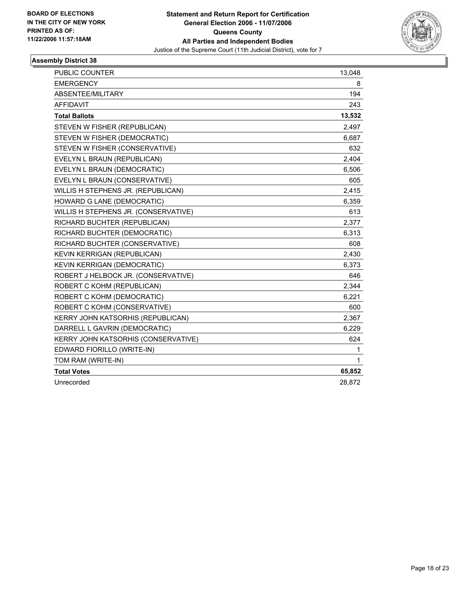

| PUBLIC COUNTER                       | 13,048 |
|--------------------------------------|--------|
| <b>EMERGENCY</b>                     | 8      |
| ABSENTEE/MILITARY                    | 194    |
| AFFIDAVIT                            | 243    |
| <b>Total Ballots</b>                 | 13,532 |
| STEVEN W FISHER (REPUBLICAN)         | 2,497  |
| STEVEN W FISHER (DEMOCRATIC)         | 6,687  |
| STEVEN W FISHER (CONSERVATIVE)       | 632    |
| EVELYN L BRAUN (REPUBLICAN)          | 2,404  |
| EVELYN L BRAUN (DEMOCRATIC)          | 6,506  |
| EVELYN L BRAUN (CONSERVATIVE)        | 605    |
| WILLIS H STEPHENS JR. (REPUBLICAN)   | 2,415  |
| HOWARD G LANE (DEMOCRATIC)           | 6,359  |
| WILLIS H STEPHENS JR. (CONSERVATIVE) | 613    |
| RICHARD BUCHTER (REPUBLICAN)         | 2,377  |
| RICHARD BUCHTER (DEMOCRATIC)         | 6,313  |
| RICHARD BUCHTER (CONSERVATIVE)       | 608    |
| KEVIN KERRIGAN (REPUBLICAN)          | 2,430  |
| <b>KEVIN KERRIGAN (DEMOCRATIC)</b>   | 6,373  |
| ROBERT J HELBOCK JR. (CONSERVATIVE)  | 646    |
| ROBERT C KOHM (REPUBLICAN)           | 2,344  |
| ROBERT C KOHM (DEMOCRATIC)           | 6,221  |
| ROBERT C KOHM (CONSERVATIVE)         | 600    |
| KERRY JOHN KATSORHIS (REPUBLICAN)    | 2,367  |
| DARRELL L GAVRIN (DEMOCRATIC)        | 6,229  |
| KERRY JOHN KATSORHIS (CONSERVATIVE)  | 624    |
| EDWARD FIORILLO (WRITE-IN)           | 1      |
| TOM RAM (WRITE-IN)                   | 1      |
| <b>Total Votes</b>                   | 65,852 |
| Unrecorded                           | 28,872 |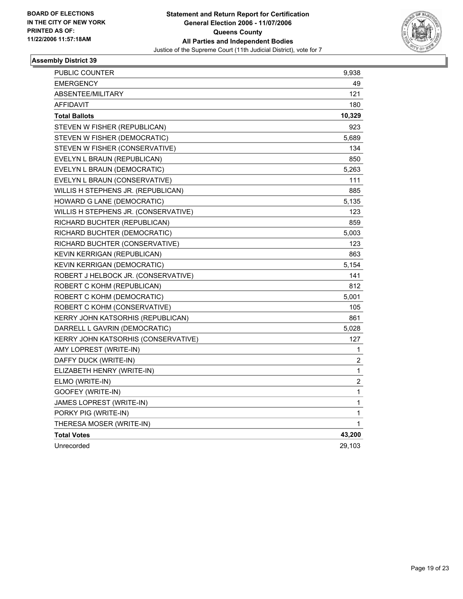

| <b>PUBLIC COUNTER</b>                | 9,938            |
|--------------------------------------|------------------|
| <b>EMERGENCY</b>                     | 49               |
| ABSENTEE/MILITARY                    | 121              |
| <b>AFFIDAVIT</b>                     | 180              |
| <b>Total Ballots</b>                 | 10,329           |
| STEVEN W FISHER (REPUBLICAN)         | 923              |
| STEVEN W FISHER (DEMOCRATIC)         | 5,689            |
| STEVEN W FISHER (CONSERVATIVE)       | 134              |
| EVELYN L BRAUN (REPUBLICAN)          | 850              |
| EVELYN L BRAUN (DEMOCRATIC)          | 5,263            |
| EVELYN L BRAUN (CONSERVATIVE)        | 111              |
| WILLIS H STEPHENS JR. (REPUBLICAN)   | 885              |
| <b>HOWARD G LANE (DEMOCRATIC)</b>    | 5,135            |
| WILLIS H STEPHENS JR. (CONSERVATIVE) | 123              |
| RICHARD BUCHTER (REPUBLICAN)         | 859              |
| RICHARD BUCHTER (DEMOCRATIC)         | 5,003            |
| RICHARD BUCHTER (CONSERVATIVE)       | 123              |
| KEVIN KERRIGAN (REPUBLICAN)          | 863              |
| KEVIN KERRIGAN (DEMOCRATIC)          | 5,154            |
| ROBERT J HELBOCK JR. (CONSERVATIVE)  | 141              |
| ROBERT C KOHM (REPUBLICAN)           | 812              |
| ROBERT C KOHM (DEMOCRATIC)           | 5,001            |
| ROBERT C KOHM (CONSERVATIVE)         | 105              |
| KERRY JOHN KATSORHIS (REPUBLICAN)    | 861              |
| DARRELL L GAVRIN (DEMOCRATIC)        | 5,028            |
| KERRY JOHN KATSORHIS (CONSERVATIVE)  | 127              |
| AMY LOPREST (WRITE-IN)               | 1                |
| DAFFY DUCK (WRITE-IN)                | $\boldsymbol{2}$ |
| ELIZABETH HENRY (WRITE-IN)           | $\mathbf{1}$     |
| ELMO (WRITE-IN)                      | 2                |
| GOOFEY (WRITE-IN)                    | 1                |
| JAMES LOPREST (WRITE-IN)             | 1                |
| PORKY PIG (WRITE-IN)                 | 1                |
| THERESA MOSER (WRITE-IN)             | 1                |
| <b>Total Votes</b>                   | 43,200           |
| Unrecorded                           | 29,103           |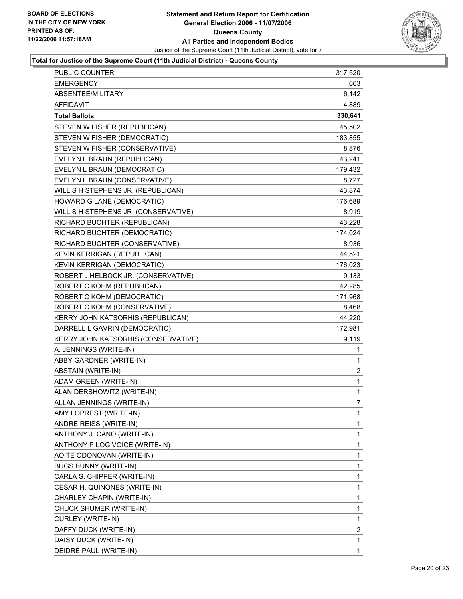

## **Total for Justice of the Supreme Court (11th Judicial District) - Queens County**

| <b>EMERGENCY</b><br>663<br>6,142<br>ABSENTEE/MILITARY<br><b>AFFIDAVIT</b><br>4,889<br><b>Total Ballots</b><br>330,641<br>STEVEN W FISHER (REPUBLICAN)<br>45,502<br>STEVEN W FISHER (DEMOCRATIC)<br>183,855<br>STEVEN W FISHER (CONSERVATIVE)<br>8,876<br>43,241<br>EVELYN L BRAUN (REPUBLICAN)<br>EVELYN L BRAUN (DEMOCRATIC)<br>179,432<br>EVELYN L BRAUN (CONSERVATIVE)<br>8,727<br>43,874<br>WILLIS H STEPHENS JR. (REPUBLICAN)<br>HOWARD G LANE (DEMOCRATIC)<br>176,689<br>WILLIS H STEPHENS JR. (CONSERVATIVE)<br>8,919<br>RICHARD BUCHTER (REPUBLICAN)<br>43,228<br>RICHARD BUCHTER (DEMOCRATIC)<br>174,024<br>RICHARD BUCHTER (CONSERVATIVE)<br>8,936<br>44,521<br>KEVIN KERRIGAN (REPUBLICAN)<br>KEVIN KERRIGAN (DEMOCRATIC)<br>176,023<br>ROBERT J HELBOCK JR. (CONSERVATIVE)<br>9,133<br>ROBERT C KOHM (REPUBLICAN)<br>42,285<br>ROBERT C KOHM (DEMOCRATIC)<br>171,968<br>ROBERT C KOHM (CONSERVATIVE)<br>8,468<br>44,220<br>KERRY JOHN KATSORHIS (REPUBLICAN)<br>DARRELL L GAVRIN (DEMOCRATIC)<br>172,981<br>KERRY JOHN KATSORHIS (CONSERVATIVE)<br>9,119<br>A. JENNINGS (WRITE-IN)<br>$\mathbf{1}$<br>ABBY GARDNER (WRITE-IN)<br>$\mathbf 1$<br>$\overline{c}$<br><b>ABSTAIN (WRITE-IN)</b><br>$\mathbf{1}$<br>ADAM GREEN (WRITE-IN)<br>ALAN DERSHOWITZ (WRITE-IN)<br>1<br>$\overline{7}$<br>ALLAN JENNINGS (WRITE-IN)<br>AMY LOPREST (WRITE-IN)<br>1<br>ANDRE REISS (WRITE-IN)<br>1<br>ANTHONY J. CANO (WRITE-IN)<br>1<br>1<br>ANTHONY P.LOGIVOICE (WRITE-IN)<br>1<br>AOITE ODONOVAN (WRITE-IN)<br>1<br><b>BUGS BUNNY (WRITE-IN)</b><br>1<br>CARLA S. CHIPPER (WRITE-IN)<br>CESAR H. QUINONES (WRITE-IN)<br>1<br>1<br>CHARLEY CHAPIN (WRITE-IN)<br>1<br>CHUCK SHUMER (WRITE-IN)<br>$\mathbf 1$<br>CURLEY (WRITE-IN)<br>$\overline{c}$ | PUBLIC COUNTER         | 317,520 |
|----------------------------------------------------------------------------------------------------------------------------------------------------------------------------------------------------------------------------------------------------------------------------------------------------------------------------------------------------------------------------------------------------------------------------------------------------------------------------------------------------------------------------------------------------------------------------------------------------------------------------------------------------------------------------------------------------------------------------------------------------------------------------------------------------------------------------------------------------------------------------------------------------------------------------------------------------------------------------------------------------------------------------------------------------------------------------------------------------------------------------------------------------------------------------------------------------------------------------------------------------------------------------------------------------------------------------------------------------------------------------------------------------------------------------------------------------------------------------------------------------------------------------------------------------------------------------------------------------------------------------------------------------------------------------------------------------------------------------------------------------|------------------------|---------|
|                                                                                                                                                                                                                                                                                                                                                                                                                                                                                                                                                                                                                                                                                                                                                                                                                                                                                                                                                                                                                                                                                                                                                                                                                                                                                                                                                                                                                                                                                                                                                                                                                                                                                                                                                    |                        |         |
|                                                                                                                                                                                                                                                                                                                                                                                                                                                                                                                                                                                                                                                                                                                                                                                                                                                                                                                                                                                                                                                                                                                                                                                                                                                                                                                                                                                                                                                                                                                                                                                                                                                                                                                                                    |                        |         |
|                                                                                                                                                                                                                                                                                                                                                                                                                                                                                                                                                                                                                                                                                                                                                                                                                                                                                                                                                                                                                                                                                                                                                                                                                                                                                                                                                                                                                                                                                                                                                                                                                                                                                                                                                    |                        |         |
|                                                                                                                                                                                                                                                                                                                                                                                                                                                                                                                                                                                                                                                                                                                                                                                                                                                                                                                                                                                                                                                                                                                                                                                                                                                                                                                                                                                                                                                                                                                                                                                                                                                                                                                                                    |                        |         |
|                                                                                                                                                                                                                                                                                                                                                                                                                                                                                                                                                                                                                                                                                                                                                                                                                                                                                                                                                                                                                                                                                                                                                                                                                                                                                                                                                                                                                                                                                                                                                                                                                                                                                                                                                    |                        |         |
|                                                                                                                                                                                                                                                                                                                                                                                                                                                                                                                                                                                                                                                                                                                                                                                                                                                                                                                                                                                                                                                                                                                                                                                                                                                                                                                                                                                                                                                                                                                                                                                                                                                                                                                                                    |                        |         |
|                                                                                                                                                                                                                                                                                                                                                                                                                                                                                                                                                                                                                                                                                                                                                                                                                                                                                                                                                                                                                                                                                                                                                                                                                                                                                                                                                                                                                                                                                                                                                                                                                                                                                                                                                    |                        |         |
|                                                                                                                                                                                                                                                                                                                                                                                                                                                                                                                                                                                                                                                                                                                                                                                                                                                                                                                                                                                                                                                                                                                                                                                                                                                                                                                                                                                                                                                                                                                                                                                                                                                                                                                                                    |                        |         |
|                                                                                                                                                                                                                                                                                                                                                                                                                                                                                                                                                                                                                                                                                                                                                                                                                                                                                                                                                                                                                                                                                                                                                                                                                                                                                                                                                                                                                                                                                                                                                                                                                                                                                                                                                    |                        |         |
|                                                                                                                                                                                                                                                                                                                                                                                                                                                                                                                                                                                                                                                                                                                                                                                                                                                                                                                                                                                                                                                                                                                                                                                                                                                                                                                                                                                                                                                                                                                                                                                                                                                                                                                                                    |                        |         |
|                                                                                                                                                                                                                                                                                                                                                                                                                                                                                                                                                                                                                                                                                                                                                                                                                                                                                                                                                                                                                                                                                                                                                                                                                                                                                                                                                                                                                                                                                                                                                                                                                                                                                                                                                    |                        |         |
|                                                                                                                                                                                                                                                                                                                                                                                                                                                                                                                                                                                                                                                                                                                                                                                                                                                                                                                                                                                                                                                                                                                                                                                                                                                                                                                                                                                                                                                                                                                                                                                                                                                                                                                                                    |                        |         |
|                                                                                                                                                                                                                                                                                                                                                                                                                                                                                                                                                                                                                                                                                                                                                                                                                                                                                                                                                                                                                                                                                                                                                                                                                                                                                                                                                                                                                                                                                                                                                                                                                                                                                                                                                    |                        |         |
|                                                                                                                                                                                                                                                                                                                                                                                                                                                                                                                                                                                                                                                                                                                                                                                                                                                                                                                                                                                                                                                                                                                                                                                                                                                                                                                                                                                                                                                                                                                                                                                                                                                                                                                                                    |                        |         |
|                                                                                                                                                                                                                                                                                                                                                                                                                                                                                                                                                                                                                                                                                                                                                                                                                                                                                                                                                                                                                                                                                                                                                                                                                                                                                                                                                                                                                                                                                                                                                                                                                                                                                                                                                    |                        |         |
|                                                                                                                                                                                                                                                                                                                                                                                                                                                                                                                                                                                                                                                                                                                                                                                                                                                                                                                                                                                                                                                                                                                                                                                                                                                                                                                                                                                                                                                                                                                                                                                                                                                                                                                                                    |                        |         |
|                                                                                                                                                                                                                                                                                                                                                                                                                                                                                                                                                                                                                                                                                                                                                                                                                                                                                                                                                                                                                                                                                                                                                                                                                                                                                                                                                                                                                                                                                                                                                                                                                                                                                                                                                    |                        |         |
|                                                                                                                                                                                                                                                                                                                                                                                                                                                                                                                                                                                                                                                                                                                                                                                                                                                                                                                                                                                                                                                                                                                                                                                                                                                                                                                                                                                                                                                                                                                                                                                                                                                                                                                                                    |                        |         |
|                                                                                                                                                                                                                                                                                                                                                                                                                                                                                                                                                                                                                                                                                                                                                                                                                                                                                                                                                                                                                                                                                                                                                                                                                                                                                                                                                                                                                                                                                                                                                                                                                                                                                                                                                    |                        |         |
|                                                                                                                                                                                                                                                                                                                                                                                                                                                                                                                                                                                                                                                                                                                                                                                                                                                                                                                                                                                                                                                                                                                                                                                                                                                                                                                                                                                                                                                                                                                                                                                                                                                                                                                                                    |                        |         |
|                                                                                                                                                                                                                                                                                                                                                                                                                                                                                                                                                                                                                                                                                                                                                                                                                                                                                                                                                                                                                                                                                                                                                                                                                                                                                                                                                                                                                                                                                                                                                                                                                                                                                                                                                    |                        |         |
|                                                                                                                                                                                                                                                                                                                                                                                                                                                                                                                                                                                                                                                                                                                                                                                                                                                                                                                                                                                                                                                                                                                                                                                                                                                                                                                                                                                                                                                                                                                                                                                                                                                                                                                                                    |                        |         |
|                                                                                                                                                                                                                                                                                                                                                                                                                                                                                                                                                                                                                                                                                                                                                                                                                                                                                                                                                                                                                                                                                                                                                                                                                                                                                                                                                                                                                                                                                                                                                                                                                                                                                                                                                    |                        |         |
|                                                                                                                                                                                                                                                                                                                                                                                                                                                                                                                                                                                                                                                                                                                                                                                                                                                                                                                                                                                                                                                                                                                                                                                                                                                                                                                                                                                                                                                                                                                                                                                                                                                                                                                                                    |                        |         |
|                                                                                                                                                                                                                                                                                                                                                                                                                                                                                                                                                                                                                                                                                                                                                                                                                                                                                                                                                                                                                                                                                                                                                                                                                                                                                                                                                                                                                                                                                                                                                                                                                                                                                                                                                    |                        |         |
|                                                                                                                                                                                                                                                                                                                                                                                                                                                                                                                                                                                                                                                                                                                                                                                                                                                                                                                                                                                                                                                                                                                                                                                                                                                                                                                                                                                                                                                                                                                                                                                                                                                                                                                                                    |                        |         |
|                                                                                                                                                                                                                                                                                                                                                                                                                                                                                                                                                                                                                                                                                                                                                                                                                                                                                                                                                                                                                                                                                                                                                                                                                                                                                                                                                                                                                                                                                                                                                                                                                                                                                                                                                    |                        |         |
|                                                                                                                                                                                                                                                                                                                                                                                                                                                                                                                                                                                                                                                                                                                                                                                                                                                                                                                                                                                                                                                                                                                                                                                                                                                                                                                                                                                                                                                                                                                                                                                                                                                                                                                                                    |                        |         |
|                                                                                                                                                                                                                                                                                                                                                                                                                                                                                                                                                                                                                                                                                                                                                                                                                                                                                                                                                                                                                                                                                                                                                                                                                                                                                                                                                                                                                                                                                                                                                                                                                                                                                                                                                    |                        |         |
|                                                                                                                                                                                                                                                                                                                                                                                                                                                                                                                                                                                                                                                                                                                                                                                                                                                                                                                                                                                                                                                                                                                                                                                                                                                                                                                                                                                                                                                                                                                                                                                                                                                                                                                                                    |                        |         |
|                                                                                                                                                                                                                                                                                                                                                                                                                                                                                                                                                                                                                                                                                                                                                                                                                                                                                                                                                                                                                                                                                                                                                                                                                                                                                                                                                                                                                                                                                                                                                                                                                                                                                                                                                    |                        |         |
|                                                                                                                                                                                                                                                                                                                                                                                                                                                                                                                                                                                                                                                                                                                                                                                                                                                                                                                                                                                                                                                                                                                                                                                                                                                                                                                                                                                                                                                                                                                                                                                                                                                                                                                                                    |                        |         |
|                                                                                                                                                                                                                                                                                                                                                                                                                                                                                                                                                                                                                                                                                                                                                                                                                                                                                                                                                                                                                                                                                                                                                                                                                                                                                                                                                                                                                                                                                                                                                                                                                                                                                                                                                    |                        |         |
|                                                                                                                                                                                                                                                                                                                                                                                                                                                                                                                                                                                                                                                                                                                                                                                                                                                                                                                                                                                                                                                                                                                                                                                                                                                                                                                                                                                                                                                                                                                                                                                                                                                                                                                                                    |                        |         |
|                                                                                                                                                                                                                                                                                                                                                                                                                                                                                                                                                                                                                                                                                                                                                                                                                                                                                                                                                                                                                                                                                                                                                                                                                                                                                                                                                                                                                                                                                                                                                                                                                                                                                                                                                    |                        |         |
|                                                                                                                                                                                                                                                                                                                                                                                                                                                                                                                                                                                                                                                                                                                                                                                                                                                                                                                                                                                                                                                                                                                                                                                                                                                                                                                                                                                                                                                                                                                                                                                                                                                                                                                                                    |                        |         |
|                                                                                                                                                                                                                                                                                                                                                                                                                                                                                                                                                                                                                                                                                                                                                                                                                                                                                                                                                                                                                                                                                                                                                                                                                                                                                                                                                                                                                                                                                                                                                                                                                                                                                                                                                    |                        |         |
|                                                                                                                                                                                                                                                                                                                                                                                                                                                                                                                                                                                                                                                                                                                                                                                                                                                                                                                                                                                                                                                                                                                                                                                                                                                                                                                                                                                                                                                                                                                                                                                                                                                                                                                                                    |                        |         |
|                                                                                                                                                                                                                                                                                                                                                                                                                                                                                                                                                                                                                                                                                                                                                                                                                                                                                                                                                                                                                                                                                                                                                                                                                                                                                                                                                                                                                                                                                                                                                                                                                                                                                                                                                    |                        |         |
|                                                                                                                                                                                                                                                                                                                                                                                                                                                                                                                                                                                                                                                                                                                                                                                                                                                                                                                                                                                                                                                                                                                                                                                                                                                                                                                                                                                                                                                                                                                                                                                                                                                                                                                                                    |                        |         |
|                                                                                                                                                                                                                                                                                                                                                                                                                                                                                                                                                                                                                                                                                                                                                                                                                                                                                                                                                                                                                                                                                                                                                                                                                                                                                                                                                                                                                                                                                                                                                                                                                                                                                                                                                    |                        |         |
|                                                                                                                                                                                                                                                                                                                                                                                                                                                                                                                                                                                                                                                                                                                                                                                                                                                                                                                                                                                                                                                                                                                                                                                                                                                                                                                                                                                                                                                                                                                                                                                                                                                                                                                                                    |                        |         |
|                                                                                                                                                                                                                                                                                                                                                                                                                                                                                                                                                                                                                                                                                                                                                                                                                                                                                                                                                                                                                                                                                                                                                                                                                                                                                                                                                                                                                                                                                                                                                                                                                                                                                                                                                    | DAFFY DUCK (WRITE-IN)  |         |
| 1<br>DAISY DUCK (WRITE-IN)                                                                                                                                                                                                                                                                                                                                                                                                                                                                                                                                                                                                                                                                                                                                                                                                                                                                                                                                                                                                                                                                                                                                                                                                                                                                                                                                                                                                                                                                                                                                                                                                                                                                                                                         |                        |         |
|                                                                                                                                                                                                                                                                                                                                                                                                                                                                                                                                                                                                                                                                                                                                                                                                                                                                                                                                                                                                                                                                                                                                                                                                                                                                                                                                                                                                                                                                                                                                                                                                                                                                                                                                                    | DEIDRE PAUL (WRITE-IN) | 1       |
|                                                                                                                                                                                                                                                                                                                                                                                                                                                                                                                                                                                                                                                                                                                                                                                                                                                                                                                                                                                                                                                                                                                                                                                                                                                                                                                                                                                                                                                                                                                                                                                                                                                                                                                                                    |                        |         |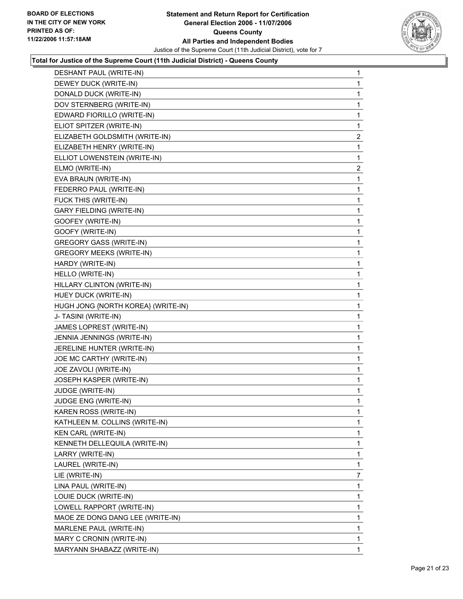

#### **Total for Justice of the Supreme Court (11th Judicial District) - Queens County**

| DESHANT PAUL (WRITE-IN)            | 1                       |
|------------------------------------|-------------------------|
| DEWEY DUCK (WRITE-IN)              | 1                       |
| DONALD DUCK (WRITE-IN)             | 1                       |
| DOV STERNBERG (WRITE-IN)           | 1                       |
| EDWARD FIORILLO (WRITE-IN)         | 1                       |
| ELIOT SPITZER (WRITE-IN)           | 1                       |
| ELIZABETH GOLDSMITH (WRITE-IN)     | $\overline{\mathbf{c}}$ |
| ELIZABETH HENRY (WRITE-IN)         | 1                       |
| ELLIOT LOWENSTEIN (WRITE-IN)       | 1                       |
| ELMO (WRITE-IN)                    | $\overline{c}$          |
| EVA BRAUN (WRITE-IN)               | 1                       |
| FEDERRO PAUL (WRITE-IN)            | 1                       |
| FUCK THIS (WRITE-IN)               | 1                       |
| <b>GARY FIELDING (WRITE-IN)</b>    | 1                       |
| GOOFEY (WRITE-IN)                  | 1                       |
| GOOFY (WRITE-IN)                   | 1                       |
| <b>GREGORY GASS (WRITE-IN)</b>     | 1                       |
| <b>GREGORY MEEKS (WRITE-IN)</b>    | 1                       |
| HARDY (WRITE-IN)                   | 1                       |
| HELLO (WRITE-IN)                   | 1                       |
| HILLARY CLINTON (WRITE-IN)         | 1                       |
| HUEY DUCK (WRITE-IN)               | 1                       |
| HUGH JONG {NORTH KOREA} (WRITE-IN) | 1                       |
| J- TASINI (WRITE-IN)               | 1                       |
| JAMES LOPREST (WRITE-IN)           | 1                       |
| JENNIA JENNINGS (WRITE-IN)         | 1                       |
| JERELINE HUNTER (WRITE-IN)         | 1                       |
| JOE MC CARTHY (WRITE-IN)           | 1                       |
| JOE ZAVOLI (WRITE-IN)              | 1                       |
| JOSEPH KASPER (WRITE-IN)           | 1                       |
| JUDGE (WRITE-IN)                   | 1                       |
| JUDGE ENG (WRITE-IN)               | 1                       |
| KAREN ROSS (WRITE-IN)              | 1                       |
| KATHLEEN M. COLLINS (WRITE-IN)     | 1                       |
| KEN CARL (WRITE-IN)                | 1                       |
| KENNETH DELLEQUILA (WRITE-IN)      | 1                       |
| LARRY (WRITE-IN)                   | 1                       |
| LAUREL (WRITE-IN)                  | 1                       |
| LIE (WRITE-IN)                     | $\overline{7}$          |
| LINA PAUL (WRITE-IN)               | 1                       |
| LOUIE DUCK (WRITE-IN)              | 1                       |
| LOWELL RAPPORT (WRITE-IN)          | 1                       |
| MAOE ZE DONG DANG LEE (WRITE-IN)   | 1                       |
| MARLENE PAUL (WRITE-IN)            | 1                       |
| MARY C CRONIN (WRITE-IN)           | 1                       |
| MARYANN SHABAZZ (WRITE-IN)         | 1                       |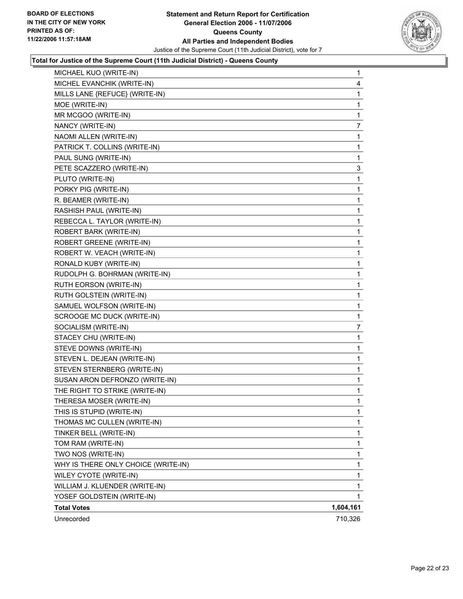

#### **Total for Justice of the Supreme Court (11th Judicial District) - Queens County**

| MICHAEL KUO (WRITE-IN)              | $\mathbf{1}$   |
|-------------------------------------|----------------|
| MICHEL EVANCHIK (WRITE-IN)          | 4              |
| MILLS LANE {REFUCE} (WRITE-IN)      | 1              |
| MOE (WRITE-IN)                      | 1              |
| MR MCGOO (WRITE-IN)                 | 1              |
| NANCY (WRITE-IN)                    | $\overline{7}$ |
| NAOMI ALLEN (WRITE-IN)              | 1              |
| PATRICK T. COLLINS (WRITE-IN)       | 1              |
| PAUL SUNG (WRITE-IN)                | 1              |
| PETE SCAZZERO (WRITE-IN)            | 3              |
| PLUTO (WRITE-IN)                    | 1              |
| PORKY PIG (WRITE-IN)                | 1              |
| R. BEAMER (WRITE-IN)                | 1              |
| RASHISH PAUL (WRITE-IN)             | 1              |
| REBECCA L. TAYLOR (WRITE-IN)        | 1              |
| ROBERT BARK (WRITE-IN)              | 1              |
| ROBERT GREENE (WRITE-IN)            | 1              |
| ROBERT W. VEACH (WRITE-IN)          | 1              |
| RONALD KUBY (WRITE-IN)              | 1              |
| RUDOLPH G. BOHRMAN (WRITE-IN)       | 1              |
| RUTH EORSON (WRITE-IN)              | 1              |
| RUTH GOLSTEIN (WRITE-IN)            | 1              |
| SAMUEL WOLFSON (WRITE-IN)           | 1              |
| SCROOGE MC DUCK (WRITE-IN)          | 1              |
| SOCIALISM (WRITE-IN)                | $\overline{7}$ |
| STACEY CHU (WRITE-IN)               | 1              |
| STEVE DOWNS (WRITE-IN)              | 1              |
| STEVEN L. DEJEAN (WRITE-IN)         | 1              |
| STEVEN STERNBERG (WRITE-IN)         | 1              |
| SUSAN ARON DEFRONZO (WRITE-IN)      | 1              |
| THE RIGHT TO STRIKE (WRITE-IN)      | 1              |
| THERESA MOSER (WRITE-IN)            | 1              |
| THIS IS STUPID (WRITE-IN)           | 1              |
| THOMAS MC CULLEN (WRITE-IN)         | 1              |
| TINKER BELL (WRITE-IN)              | 1              |
| TOM RAM (WRITE-IN)                  | 1              |
| TWO NOS (WRITE-IN)                  | 1              |
| WHY IS THERE ONLY CHOICE (WRITE-IN) | 1              |
| WILEY CYOTE (WRITE-IN)              | 1              |
| WILLIAM J. KLUENDER (WRITE-IN)      | 1              |
| YOSEF GOLDSTEIN (WRITE-IN)          | 1              |
| <b>Total Votes</b>                  | 1,604,161      |
| Unrecorded                          | 710,326        |
|                                     |                |